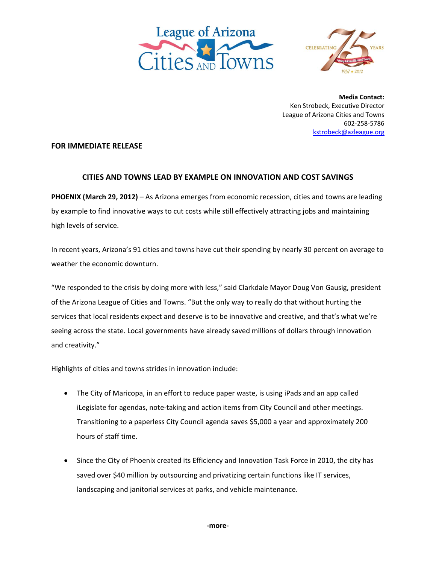



**Media Contact:** Ken Strobeck, Executive Director League of Arizona Cities and Towns 602‐258‐5786 kstrobeck@azleague.org

## **FOR IMMEDIATE RELEASE**

## **CITIES AND TOWNS LEAD BY EXAMPLE ON INNOVATION AND COST SAVINGS**

**PHOENIX (March 29, 2012)** – As Arizona emerges from economic recession, cities and towns are leading by example to find innovative ways to cut costs while still effectively attracting jobs and maintaining high levels of service.

In recent years, Arizona's 91 cities and towns have cut their spending by nearly 30 percent on average to weather the economic downturn.

"We responded to the crisis by doing more with less," said Clarkdale Mayor Doug Von Gausig, president of the Arizona League of Cities and Towns. "But the only way to really do that without hurting the services that local residents expect and deserve is to be innovative and creative, and that's what we're seeing across the state. Local governments have already saved millions of dollars through innovation and creativity."

Highlights of cities and towns strides in innovation include:

- The City of Maricopa, in an effort to reduce paper waste, is using iPads and an app called iLegislate for agendas, note‐taking and action items from City Council and other meetings. Transitioning to a paperless City Council agenda saves \$5,000 a year and approximately 200 hours of staff time.
- Since the City of Phoenix created its Efficiency and Innovation Task Force in 2010, the city has saved over \$40 million by outsourcing and privatizing certain functions like IT services, landscaping and janitorial services at parks, and vehicle maintenance.